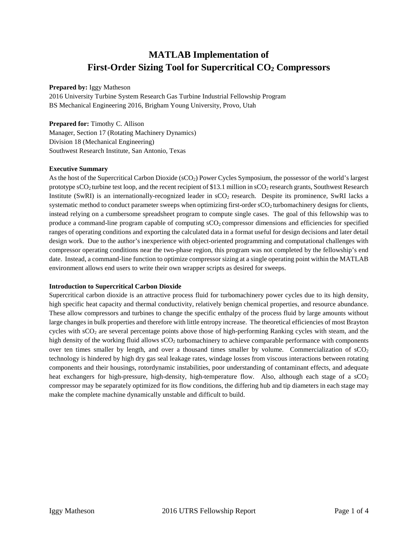# **MATLAB Implementation of First-Order Sizing Tool for Supercritical CO2 Compressors**

## **Prepared by:** Iggy Matheson

2016 University Turbine System Research Gas Turbine Industrial Fellowship Program BS Mechanical Engineering 2016, Brigham Young University, Provo, Utah

## **Prepared for:** Timothy C. Allison

Manager, Section 17 (Rotating Machinery Dynamics) Division 18 (Mechanical Engineering) Southwest Research Institute, San Antonio, Texas

## **Executive Summary**

As the host of the Supercritical Carbon Dioxide (sCO<sub>2</sub>) Power Cycles Symposium, the possessor of the world's largest prototype  $\rm{sCO}_2$  turbine test loop, and the recent recipient of \$13.1 million in  $\rm{sCO}_2$  research grants, Southwest Research Institute (SwRI) is an internationally-recognized leader in  $sCO<sub>2</sub>$  research. Despite its prominence, SwRI lacks a systematic method to conduct parameter sweeps when optimizing first-order sCO2 turbomachinery designs for clients, instead relying on a cumbersome spreadsheet program to compute single cases. The goal of this fellowship was to produce a command-line program capable of computing  $\mathsf{sCO}_2$  compressor dimensions and efficiencies for specified ranges of operating conditions and exporting the calculated data in a format useful for design decisions and later detail design work. Due to the author's inexperience with object-oriented programming and computational challenges with compressor operating conditions near the two-phase region, this program was not completed by the fellowship's end date. Instead, a command-line function to optimize compressor sizing at a single operating point within the MATLAB environment allows end users to write their own wrapper scripts as desired for sweeps.

# **Introduction to Supercritical Carbon Dioxide**

Supercritical carbon dioxide is an attractive process fluid for turbomachinery power cycles due to its high density, high specific heat capacity and thermal conductivity, relatively benign chemical properties, and resource abundance. These allow compressors and turbines to change the specific enthalpy of the process fluid by large amounts without large changes in bulk properties and therefore with little entropy increase. The theoretical efficiencies of most Brayton cycles with  $\rm{sCO_2}$  are several percentage points above those of high-performing Ranking cycles with steam, and the high density of the working fluid allows  $\mathcal{S}\mathcal{O}_2$  turbomachinery to achieve comparable performance with components over ten times smaller by length, and over a thousand times smaller by volume. Commercialization of  $\mathcal{S}CO_2$ technology is hindered by high dry gas seal leakage rates, windage losses from viscous interactions between rotating components and their housings, rotordynamic instabilities, poor understanding of contaminant effects, and adequate heat exchangers for high-pressure, high-density, high-temperature flow. Also, although each stage of a  $\rm{sCO}_{2}$ compressor may be separately optimized for its flow conditions, the differing hub and tip diameters in each stage may make the complete machine dynamically unstable and difficult to build.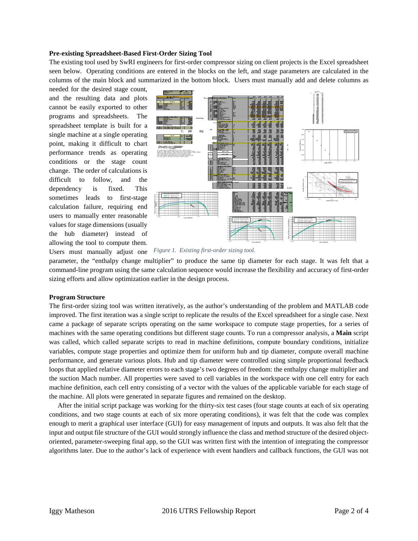#### **Pre-existing Spreadsheet-Based First-Order Sizing Tool**

The existing tool used by SwRI engineers for first-order compressor sizing on client projects is the Excel spreadsheet seen below. Operating conditions are entered in the blocks on the left, and stage parameters are calculated in the columns of the main block and summarized in the bottom block. Users must manually add and delete columns as

needed for the desired stage count, and the resulting data and plots cannot be easily exported to other programs and spreadsheets. The spreadsheet template is built for a single machine at a single operating point, making it difficult to chart performance trends as operating conditions or the stage count change. The order of calculations is difficult to follow, and the dependency is fixed. This sometimes leads to first-stage calculation failure, requiring end users to manually enter reasonable values for stage dimensions (usually the hub diameter) instead of allowing the tool to compute them. Users must manually adjust one



*Figure 1. Existing first-order sizing tool.*

parameter, the "enthalpy change multiplier" to produce the same tip diameter for each stage. It was felt that a command-line program using the same calculation sequence would increase the flexibility and accuracy of first-order sizing efforts and allow optimization earlier in the design process.

#### **Program Structure**

The first-order sizing tool was written iteratively, as the author's understanding of the problem and MATLAB code improved. The first iteration was a single script to replicate the results of the Excel spreadsheet for a single case. Next came a package of separate scripts operating on the same workspace to compute stage properties, for a series of machines with the same operating conditions but different stage counts. To run a compressor analysis, a **Main** script was called, which called separate scripts to read in machine definitions, compute boundary conditions, initialize variables, compute stage properties and optimize them for uniform hub and tip diameter, compute overall machine performance, and generate various plots. Hub and tip diameter were controlled using simple proportional feedback loops that applied relative diameter errors to each stage's two degrees of freedom: the enthalpy change multiplier and the suction Mach number. All properties were saved to cell variables in the workspace with one cell entry for each machine definition, each cell entry consisting of a vector with the values of the applicable variable for each stage of the machine. All plots were generated in separate figures and remained on the desktop.

 After the initial script package was working for the thirty-six test cases (four stage counts at each of six operating conditions, and two stage counts at each of six more operating conditions), it was felt that the code was complex enough to merit a graphical user interface (GUI) for easy management of inputs and outputs. It was also felt that the input and output file structure of the GUI would strongly influence the class and method structure of the desired objectoriented, parameter-sweeping final app, so the GUI was written first with the intention of integrating the compressor algorithms later. Due to the author's lack of experience with event handlers and callback functions, the GUI was not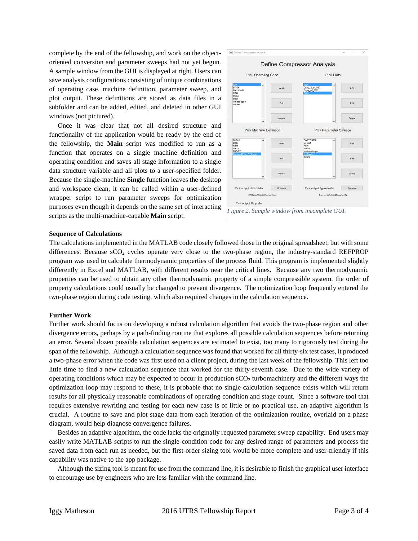complete by the end of the fellowship, and work on the objectoriented conversion and parameter sweeps had not yet begun. A sample window from the GUI is displayed at right. Users can save analysis configurations consisting of unique combinations of operating case, machine definition, parameter sweep, and plot output. These definitions are stored as data files in a subfolder and can be added, edited, and deleted in other GUI windows (not pictured).

 Once it was clear that not all desired structure and functionality of the application would be ready by the end of the fellowship, the **Main** script was modified to run as a function that operates on a single machine definition and operating condition and saves all stage information to a single data structure variable and all plots to a user-specified folder. Because the single-machine **Single** function leaves the desktop and workspace clean, it can be called within a user-defined wrapper script to run parameter sweeps for optimization purposes even though it depends on the same set of interacting scripts as the multi-machine-capable **Main** script.



*Figure 2. Sample window from incomplete GUI.*

#### **Sequence of Calculations**

The calculations implemented in the MATLAB code closely followed those in the original spreadsheet, but with some differences. Because  $\text{sCO}_2$  cycles operate very close to the two-phase region, the industry-standard REFPROP program was used to calculate thermodynamic properties of the process fluid. This program is implemented slightly differently in Excel and MATLAB, with different results near the critical lines. Because any two thermodynamic properties can be used to obtain any other thermodynamic property of a simple compressible system, the order of property calculations could usually be changed to prevent divergence. The optimization loop frequently entered the two-phase region during code testing, which also required changes in the calculation sequence.

#### **Further Work**

Further work should focus on developing a robust calculation algorithm that avoids the two-phase region and other divergence errors, perhaps by a path-finding routine that explores all possible calculation sequences before returning an error. Several dozen possible calculation sequences are estimated to exist, too many to rigorously test during the span of the fellowship. Although a calculation sequence was found that worked for all thirty-six test cases, it produced a two-phase error when the code was first used on a client project, during the last week of the fellowship. This left too little time to find a new calculation sequence that worked for the thirty-seventh case. Due to the wide variety of operating conditions which may be expected to occur in production  $\rm{sCO}_2$  turbomachinery and the different ways the optimization loop may respond to these, it is probable that no single calculation sequence exists which will return results for all physically reasonable combinations of operating condition and stage count. Since a software tool that requires extensive rewriting and testing for each new case is of little or no practical use, an adaptive algorithm is crucial. A routine to save and plot stage data from each iteration of the optimization routine, overlaid on a phase diagram, would help diagnose convergence failures.

 Besides an adaptive algorithm, the code lacks the originally requested parameter sweep capability. End users may easily write MATLAB scripts to run the single-condition code for any desired range of parameters and process the saved data from each run as needed, but the first-order sizing tool would be more complete and user-friendly if this capability was native to the app package.

 Although the sizing tool is meant for use from the command line, it is desirable to finish the graphical user interface to encourage use by engineers who are less familiar with the command line.